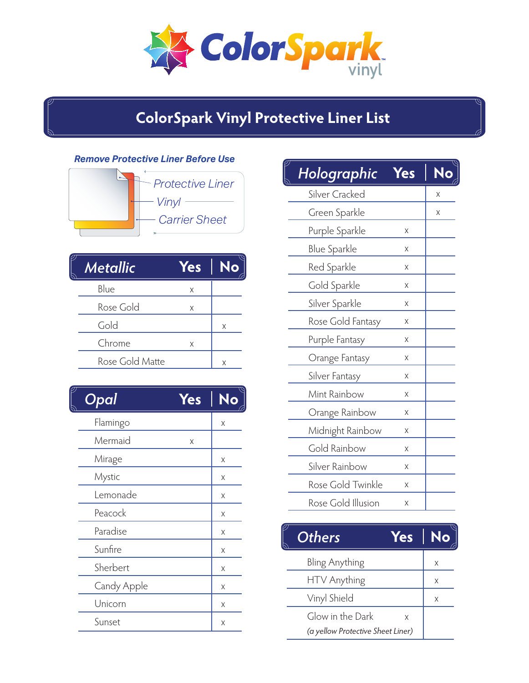*ColorSpark* 

## **ColorSpark Vinyl Protective Liner List**

## *Remove Protective Liner Before Use*

| · Vinyl<br><b>Carrier Sheet</b> | <b>Protective Liner</b> |
|---------------------------------|-------------------------|
|                                 |                         |
|                                 |                         |

| Metallic        | <b>Yes</b> | No |
|-----------------|------------|----|
| Blue            | X          |    |
| Rose Gold       | X          |    |
| Gold            |            | X  |
| Chrome          | Χ          |    |
| Rose Gold Matte |            | X  |

| T,<br>Opal  | <b>Yes</b> | No |
|-------------|------------|----|
| Flamingo    |            | X  |
| Mermaid     | X          |    |
| Mirage      |            | X  |
| Mystic      |            | X  |
| Lemonade    |            | X  |
| Peacock     |            | X  |
| Paradise    |            | X  |
| Sunfire     |            | Χ  |
| Sherbert    |            | Χ  |
| Candy Apple |            | X  |
| Unicorn     |            | X  |
| Sunset      |            | X  |

| Holographic         | <b>Yes</b> |   |
|---------------------|------------|---|
| Silver Cracked      |            | Χ |
| Green Sparkle       |            | Χ |
| Purple Sparkle      | Χ          |   |
| <b>Blue Sparkle</b> | Χ          |   |
| Red Sparkle         | Χ          |   |
| Gold Sparkle        | Χ          |   |
| Silver Sparkle      | Χ          |   |
| Rose Gold Fantasy   | Χ          |   |
| Purple Fantasy      | Χ          |   |
| Orange Fantasy      | Χ          |   |
| Silver Fantasy      | Χ          |   |
| Mint Rainbow        | Χ          |   |
| Orange Rainbow      | Χ          |   |
| Midnight Rainbow    | Χ          |   |
| Gold Rainbow        | Χ          |   |
| Silver Rainbow      | Χ          |   |
| Rose Gold Twinkle   | Χ          |   |
| Rose Gold Illusion  | Χ          |   |

| <b>Others</b><br>Yes              | No |
|-----------------------------------|----|
| Bling Anything                    | X  |
| HTV Anything                      | X  |
| Vinyl Shield                      | X  |
| Glow in the Dark<br>X             |    |
| (a yellow Protective Sheet Liner) |    |